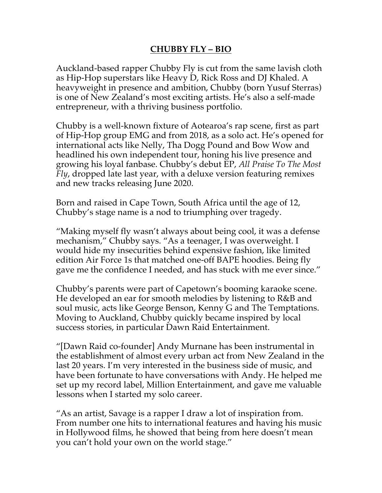## **CHUBBY FLY – BIO**

Auckland-based rapper Chubby Fly is cut from the same lavish cloth as Hip-Hop superstars like Heavy D, Rick Ross and DJ Khaled. A heavyweight in presence and ambition, Chubby (born Yusuf Sterras) is one of New Zealand's most exciting artists. He's also a self-made entrepreneur, with a thriving business portfolio.

Chubby is a well-known fixture of Aotearoa's rap scene, first as part of Hip-Hop group EMG and from 2018, as a solo act. He's opened for international acts like Nelly, Tha Dogg Pound and Bow Wow and headlined his own independent tour, honing his live presence and growing his loyal fanbase. Chubby's debut EP, *All Praise To The Most Fly*, dropped late last year, with a deluxe version featuring remixes and new tracks releasing June 2020.

Born and raised in Cape Town, South Africa until the age of 12, Chubby's stage name is a nod to triumphing over tragedy.

"Making myself fly wasn't always about being cool, it was a defense mechanism," Chubby says. "As a teenager, I was overweight. I would hide my insecurities behind expensive fashion, like limited edition Air Force 1s that matched one-off BAPE hoodies. Being fly gave me the confidence I needed, and has stuck with me ever since."

Chubby's parents were part of Capetown's booming karaoke scene. He developed an ear for smooth melodies by listening to R&B and soul music, acts like George Benson, Kenny G and The Temptations. Moving to Auckland, Chubby quickly became inspired by local success stories, in particular Dawn Raid Entertainment.

"[Dawn Raid co-founder] Andy Murnane has been instrumental in the establishment of almost every urban act from New Zealand in the last 20 years. I'm very interested in the business side of music, and have been fortunate to have conversations with Andy. He helped me set up my record label, Million Entertainment, and gave me valuable lessons when I started my solo career.

"As an artist, Savage is a rapper I draw a lot of inspiration from. From number one hits to international features and having his music in Hollywood films, he showed that being from here doesn't mean you can't hold your own on the world stage."